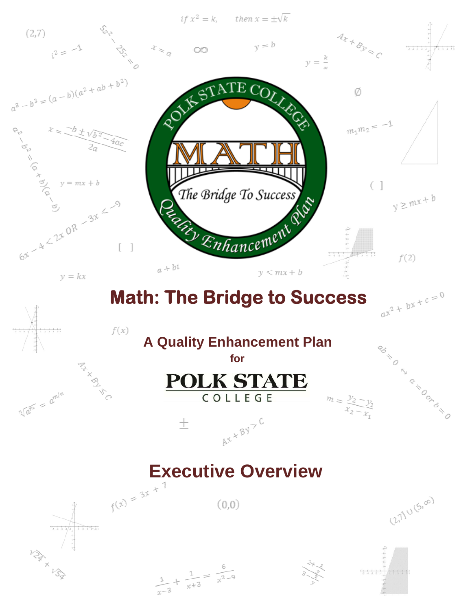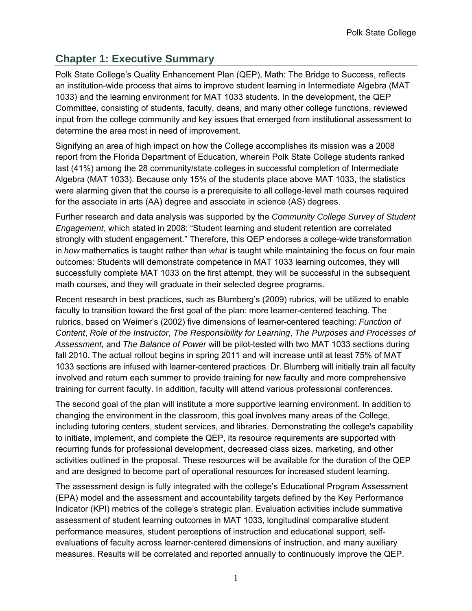# **Chapter 1: Executive Summary**

Polk State College's Quality Enhancement Plan (QEP), Math: The Bridge to Success, reflects an institution-wide process that aims to improve student learning in Intermediate Algebra (MAT 1033) and the learning environment for MAT 1033 students. In the development, the QEP Committee, consisting of students, faculty, deans, and many other college functions, reviewed input from the college community and key issues that emerged from institutional assessment to determine the area most in need of improvement.

Signifying an area of high impact on how the College accomplishes its mission was a 2008 report from the Florida Department of Education, wherein Polk State College students ranked last (41%) among the 28 community/state colleges in successful completion of Intermediate Algebra (MAT 1033). Because only 15% of the students place above MAT 1033, the statistics were alarming given that the course is a prerequisite to all college-level math courses required for the associate in arts (AA) degree and associate in science (AS) degrees.

Further research and data analysis was supported by the *Community College Survey of Student Engagement*, which stated in 2008: "Student learning and student retention are correlated strongly with student engagement." Therefore, this QEP endorses a college-wide transformation in *how* mathematics is taught rather than *what* is taught while maintaining the focus on four main outcomes: Students will demonstrate competence in MAT 1033 learning outcomes, they will successfully complete MAT 1033 on the first attempt, they will be successful in the subsequent math courses, and they will graduate in their selected degree programs.

Recent research in best practices, such as Blumberg's (2009) rubrics, will be utilized to enable faculty to transition toward the first goal of the plan: more learner-centered teaching. The rubrics, based on Weimer's (2002) five dimensions of learner-centered teaching: *Function of Content*, *Role of the Instructor*, *The Responsibility for Learning*, *The Purposes and Processes of Assessment,* and *The Balance of Power* will be pilot-tested with two MAT 1033 sections during fall 2010. The actual rollout begins in spring 2011 and will increase until at least 75% of MAT 1033 sections are infused with learner-centered practices. Dr. Blumberg will initially train all faculty involved and return each summer to provide training for new faculty and more comprehensive training for current faculty. In addition, faculty will attend various professional conferences.

The second goal of the plan will institute a more supportive learning environment. In addition to changing the environment in the classroom, this goal involves many areas of the College, including tutoring centers, student services, and libraries. Demonstrating the college's capability to initiate, implement, and complete the QEP, its resource requirements are supported with recurring funds for professional development, decreased class sizes, marketing, and other activities outlined in the proposal. These resources will be available for the duration of the QEP and are designed to become part of operational resources for increased student learning.

The assessment design is fully integrated with the college's Educational Program Assessment (EPA) model and the assessment and accountability targets defined by the Key Performance Indicator (KPI) metrics of the college's strategic plan. Evaluation activities include summative assessment of student learning outcomes in MAT 1033, longitudinal comparative student performance measures, student perceptions of instruction and educational support, selfevaluations of faculty across learner-centered dimensions of instruction, and many auxiliary measures. Results will be correlated and reported annually to continuously improve the QEP.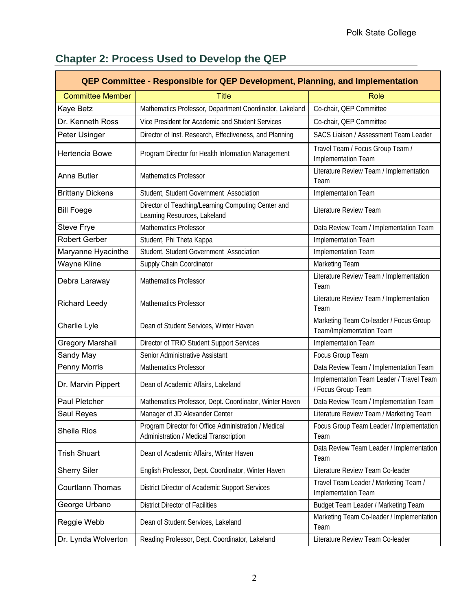| QEP Committee - Responsible for QEP Development, Planning, and Implementation |                                                                                                |                                                                    |  |  |  |  |  |  |  |  |
|-------------------------------------------------------------------------------|------------------------------------------------------------------------------------------------|--------------------------------------------------------------------|--|--|--|--|--|--|--|--|
| <b>Committee Member</b>                                                       | <b>Title</b>                                                                                   | Role                                                               |  |  |  |  |  |  |  |  |
| Kaye Betz                                                                     | Mathematics Professor, Department Coordinator, Lakeland                                        | Co-chair, QEP Committee                                            |  |  |  |  |  |  |  |  |
| Dr. Kenneth Ross                                                              | Vice President for Academic and Student Services                                               | Co-chair, QEP Committee                                            |  |  |  |  |  |  |  |  |
| Peter Usinger                                                                 | Director of Inst. Research, Effectiveness, and Planning                                        | SACS Liaison / Assessment Team Leader                              |  |  |  |  |  |  |  |  |
| Hertencia Bowe                                                                | Program Director for Health Information Management                                             | Travel Team / Focus Group Team /<br>Implementation Team            |  |  |  |  |  |  |  |  |
| Anna Butler                                                                   | <b>Mathematics Professor</b>                                                                   | Literature Review Team / Implementation<br>Team                    |  |  |  |  |  |  |  |  |
| <b>Brittany Dickens</b>                                                       | Student, Student Government Association                                                        | Implementation Team                                                |  |  |  |  |  |  |  |  |
| <b>Bill Foege</b>                                                             | Director of Teaching/Learning Computing Center and<br>Learning Resources, Lakeland             | Literature Review Team                                             |  |  |  |  |  |  |  |  |
| Steve Frye                                                                    | <b>Mathematics Professor</b>                                                                   | Data Review Team / Implementation Team                             |  |  |  |  |  |  |  |  |
| <b>Robert Gerber</b>                                                          | Student, Phi Theta Kappa                                                                       | Implementation Team                                                |  |  |  |  |  |  |  |  |
| Maryanne Hyacinthe                                                            | Student, Student Government Association                                                        | Implementation Team                                                |  |  |  |  |  |  |  |  |
| Wayne Kline                                                                   | Supply Chain Coordinator                                                                       | Marketing Team                                                     |  |  |  |  |  |  |  |  |
| Debra Laraway                                                                 | <b>Mathematics Professor</b>                                                                   | Literature Review Team / Implementation<br>Team                    |  |  |  |  |  |  |  |  |
| <b>Richard Leedy</b>                                                          | <b>Mathematics Professor</b>                                                                   | Literature Review Team / Implementation<br>Team                    |  |  |  |  |  |  |  |  |
| Dean of Student Services, Winter Haven<br>Charlie Lyle                        |                                                                                                | Marketing Team Co-leader / Focus Group<br>Team/Implementation Team |  |  |  |  |  |  |  |  |
| <b>Gregory Marshall</b>                                                       | Director of TRiO Student Support Services                                                      | Implementation Team                                                |  |  |  |  |  |  |  |  |
| Sandy May                                                                     | Senior Administrative Assistant                                                                | Focus Group Team                                                   |  |  |  |  |  |  |  |  |
| Penny Morris                                                                  | Mathematics Professor                                                                          | Data Review Team / Implementation Team                             |  |  |  |  |  |  |  |  |
| Dr. Marvin Pippert                                                            | Dean of Academic Affairs, Lakeland                                                             | Implementation Team Leader / Travel Team<br>/ Focus Group Team     |  |  |  |  |  |  |  |  |
| Paul Pletcher                                                                 | Mathematics Professor, Dept. Coordinator, Winter Haven                                         | Data Review Team / Implementation Team                             |  |  |  |  |  |  |  |  |
| Saul Reyes                                                                    | Manager of JD Alexander Center                                                                 | Literature Review Team / Marketing Team                            |  |  |  |  |  |  |  |  |
| Sheila Rios                                                                   | Program Director for Office Administration / Medical<br>Administration / Medical Transcription | Focus Group Team Leader / Implementation<br>Team                   |  |  |  |  |  |  |  |  |
| <b>Trish Shuart</b>                                                           | Dean of Academic Affairs, Winter Haven                                                         | Data Review Team Leader / Implementation<br>Team                   |  |  |  |  |  |  |  |  |
| <b>Sherry Siler</b>                                                           | English Professor, Dept. Coordinator, Winter Haven                                             | Literature Review Team Co-leader                                   |  |  |  |  |  |  |  |  |
| Courtlann Thomas                                                              | District Director of Academic Support Services                                                 | Travel Team Leader / Marketing Team /<br>Implementation Team       |  |  |  |  |  |  |  |  |
| George Urbano                                                                 | <b>District Director of Facilities</b>                                                         | Budget Team Leader / Marketing Team                                |  |  |  |  |  |  |  |  |
| Reggie Webb                                                                   | Dean of Student Services, Lakeland                                                             | Marketing Team Co-leader / Implementation<br>Team                  |  |  |  |  |  |  |  |  |
| Dr. Lynda Wolverton                                                           | Reading Professor, Dept. Coordinator, Lakeland                                                 | Literature Review Team Co-leader                                   |  |  |  |  |  |  |  |  |

# **Chapter 2: Process Used to Develop the QEP**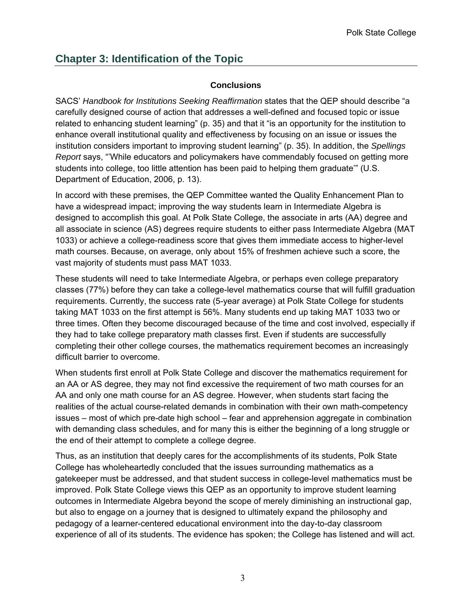# **Chapter 3: Identification of the Topic**

## **Conclusions**

SACS' *Handbook for Institutions Seeking Reaffirmation* states that the QEP should describe "a carefully designed course of action that addresses a well-defined and focused topic or issue related to enhancing student learning" (p. 35) and that it "is an opportunity for the institution to enhance overall institutional quality and effectiveness by focusing on an issue or issues the institution considers important to improving student learning" (p. 35). In addition, the *Spellings Report* says, "'While educators and policymakers have commendably focused on getting more students into college, too little attention has been paid to helping them graduate'" (U.S. Department of Education, 2006, p. 13).

In accord with these premises, the QEP Committee wanted the Quality Enhancement Plan to have a widespread impact; improving the way students learn in Intermediate Algebra is designed to accomplish this goal. At Polk State College, the associate in arts (AA) degree and all associate in science (AS) degrees require students to either pass Intermediate Algebra (MAT 1033) or achieve a college-readiness score that gives them immediate access to higher-level math courses. Because, on average, only about 15% of freshmen achieve such a score, the vast majority of students must pass MAT 1033.

These students will need to take Intermediate Algebra, or perhaps even college preparatory classes (77%) before they can take a college-level mathematics course that will fulfill graduation requirements. Currently, the success rate (5-year average) at Polk State College for students taking MAT 1033 on the first attempt is 56%. Many students end up taking MAT 1033 two or three times. Often they become discouraged because of the time and cost involved, especially if they had to take college preparatory math classes first. Even if students are successfully completing their other college courses, the mathematics requirement becomes an increasingly difficult barrier to overcome.

When students first enroll at Polk State College and discover the mathematics requirement for an AA or AS degree, they may not find excessive the requirement of two math courses for an AA and only one math course for an AS degree. However, when students start facing the realities of the actual course-related demands in combination with their own math-competency issues – most of which pre-date high school – fear and apprehension aggregate in combination with demanding class schedules, and for many this is either the beginning of a long struggle or the end of their attempt to complete a college degree.

Thus, as an institution that deeply cares for the accomplishments of its students, Polk State College has wholeheartedly concluded that the issues surrounding mathematics as a gatekeeper must be addressed, and that student success in college-level mathematics must be improved. Polk State College views this QEP as an opportunity to improve student learning outcomes in Intermediate Algebra beyond the scope of merely diminishing an instructional gap, but also to engage on a journey that is designed to ultimately expand the philosophy and pedagogy of a learner-centered educational environment into the day-to-day classroom experience of all of its students. The evidence has spoken; the College has listened and will act.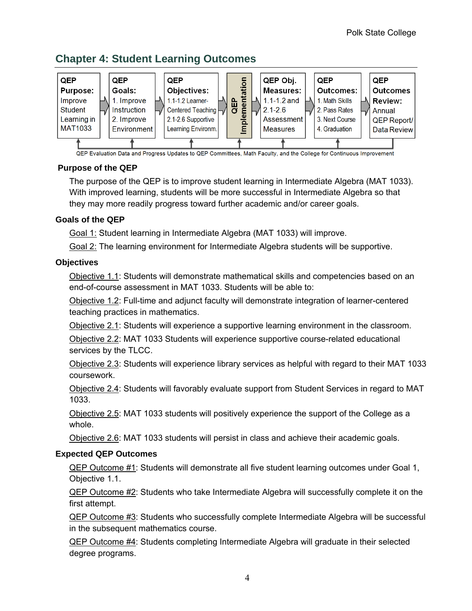## **Chapter 4: Student Learning Outcomes**



#### QEP Evaluation Data and Progress Updates to QEP Committees, Math Faculty, and the College for Continuous Improvement

## **Purpose of the QEP**

The purpose of the QEP is to improve student learning in Intermediate Algebra (MAT 1033). With improved learning, students will be more successful in Intermediate Algebra so that they may more readily progress toward further academic and/or career goals.

### **Goals of the QEP**

Goal 1: Student learning in Intermediate Algebra (MAT 1033) will improve.

Goal 2: The learning environment for Intermediate Algebra students will be supportive.

## **Objectives**

Objective 1.1: Students will demonstrate mathematical skills and competencies based on an end-of-course assessment in MAT 1033. Students will be able to:

Objective 1.2: Full-time and adjunct faculty will demonstrate integration of learner-centered teaching practices in mathematics.

Objective 2.1: Students will experience a supportive learning environment in the classroom.

Objective 2.2: MAT 1033 Students will experience supportive course-related educational services by the TLCC.

Objective 2.3: Students will experience library services as helpful with regard to their MAT 1033 coursework.

Objective 2.4: Students will favorably evaluate support from Student Services in regard to MAT 1033.

Objective 2.5: MAT 1033 students will positively experience the support of the College as a whole.

Objective 2.6: MAT 1033 students will persist in class and achieve their academic goals.

## **Expected QEP Outcomes**

QEP Outcome #1: Students will demonstrate all five student learning outcomes under Goal 1, Objective 1.1.

QEP Outcome #2: Students who take Intermediate Algebra will successfully complete it on the first attempt.

QEP Outcome #3: Students who successfully complete Intermediate Algebra will be successful in the subsequent mathematics course.

QEP Outcome #4: Students completing Intermediate Algebra will graduate in their selected degree programs.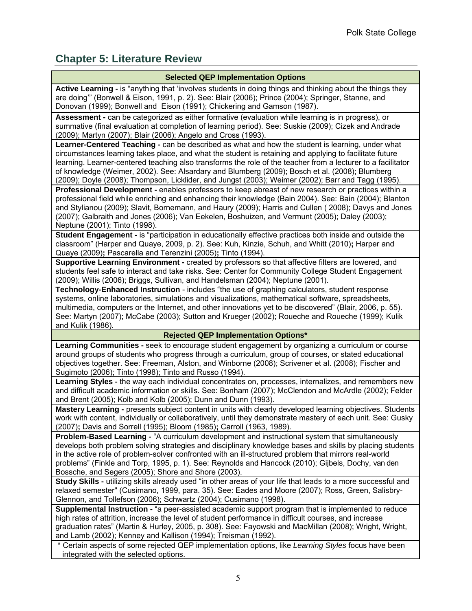# **Chapter 5: Literature Review**

| <b>Selected QEP Implementation Options</b>                                                                                                                                                                                                                                                                                                        |
|---------------------------------------------------------------------------------------------------------------------------------------------------------------------------------------------------------------------------------------------------------------------------------------------------------------------------------------------------|
| Active Learning - is "anything that 'involves students in doing things and thinking about the things they                                                                                                                                                                                                                                         |
| are doing" (Bonwell & Eison, 1991, p. 2). See: Blair (2006); Prince (2004); Springer, Stanne, and<br>Donovan (1999); Bonwell and Eison (1991); Chickering and Gamson (1987).                                                                                                                                                                      |
| Assessment - can be categorized as either formative (evaluation while learning is in progress), or                                                                                                                                                                                                                                                |
| summative (final evaluation at completion of learning period). See: Suskie (2009); Cizek and Andrade<br>(2009); Martyn (2007); Blair (2006); Angelo and Cross (1993).                                                                                                                                                                             |
| Learner-Centered Teaching - can be described as what and how the student is learning, under what                                                                                                                                                                                                                                                  |
| circumstances learning takes place, and what the student is retaining and applying to facilitate future<br>learning. Learner-centered teaching also transforms the role of the teacher from a lecturer to a facilitator                                                                                                                           |
| of knowledge (Weimer, 2002). See: Alsardary and Blumberg (2009); Bosch et al. (2008); Blumberg                                                                                                                                                                                                                                                    |
| (2009); Doyle (2008); Thompson, Licklider, and Jungst (2003); Weimer (2002); Barr and Tagg (1995).                                                                                                                                                                                                                                                |
| Professional Development - enables professors to keep abreast of new research or practices within a                                                                                                                                                                                                                                               |
| professional field while enriching and enhancing their knowledge (Bain 2004). See: Bain (2004); Blanton<br>and Stylianou (2009); Slavit, Bornemann, and Haury (2009); Harris and Cullen (2008); Davys and Jones<br>(2007); Galbraith and Jones (2006); Van Eekelen, Boshuizen, and Vermunt (2005); Daley (2003);<br>Neptune (2001); Tinto (1998). |
| Student Engagement - is "participation in educationally effective practices both inside and outside the                                                                                                                                                                                                                                           |
| classroom" (Harper and Quaye, 2009, p. 2). See: Kuh, Kinzie, Schuh, and Whitt (2010); Harper and                                                                                                                                                                                                                                                  |
| Quaye (2009); Pascarella and Terenzini (2005); Tinto (1994).                                                                                                                                                                                                                                                                                      |
| Supportive Learning Environment - created by professors so that affective filters are lowered, and                                                                                                                                                                                                                                                |
| students feel safe to interact and take risks. See: Center for Community College Student Engagement<br>(2009); Willis (2006); Briggs, Sullivan, and Handelsman (2004); Neptune (2001).                                                                                                                                                            |
| Technology-Enhanced Instruction - includes "the use of graphing calculators, student response                                                                                                                                                                                                                                                     |
| systems, online laboratories, simulations and visualizations, mathematical software, spreadsheets,                                                                                                                                                                                                                                                |
| multimedia, computers or the Internet, and other innovations yet to be discovered" (Blair, 2006, p. 55).                                                                                                                                                                                                                                          |
| See: Martyn (2007); McCabe (2003); Sutton and Krueger (2002); Roueche and Roueche (1999); Kulik                                                                                                                                                                                                                                                   |
| and Kulik (1986).                                                                                                                                                                                                                                                                                                                                 |
| <b>Rejected QEP Implementation Options*</b>                                                                                                                                                                                                                                                                                                       |
| Learning Communities - seek to encourage student engagement by organizing a curriculum or course<br>around groups of students who progress through a curriculum, group of courses, or stated educational                                                                                                                                          |
| objectives together. See: Freeman, Alston, and Winborne (2008); Scrivener et al. (2008); Fischer and                                                                                                                                                                                                                                              |
| Sugimoto (2006); Tinto (1998); Tinto and Russo (1994).                                                                                                                                                                                                                                                                                            |
| Learning Styles - the way each individual concentrates on, processes, internalizes, and remembers new                                                                                                                                                                                                                                             |
| and difficult academic information or skills. See: Bonham (2007); McClendon and McArdle (2002); Felder                                                                                                                                                                                                                                            |
| and Brent (2005); Kolb and Kolb (2005); Dunn and Dunn (1993).                                                                                                                                                                                                                                                                                     |
| Mastery Learning - presents subject content in units with clearly developed learning objectives. Students                                                                                                                                                                                                                                         |
| work with content, individually or collaboratively, until they demonstrate mastery of each unit. See: Gusky                                                                                                                                                                                                                                       |
| (2007); Davis and Sorrell (1995); Bloom (1985); Carroll (1963, 1989).                                                                                                                                                                                                                                                                             |
| Problem-Based Learning - "A curriculum development and instructional system that simultaneously                                                                                                                                                                                                                                                   |
| develops both problem solving strategies and disciplinary knowledge bases and skills by placing students<br>in the active role of problem-solver confronted with an ill-structured problem that mirrors real-world                                                                                                                                |
| problems" (Finkle and Torp, 1995, p. 1). See: Reynolds and Hancock (2010); Gijbels, Dochy, van den                                                                                                                                                                                                                                                |
| Bossche, and Segers (2005); Shore and Shore (2003).                                                                                                                                                                                                                                                                                               |
| Study Skills - utilizing skills already used "in other areas of your life that leads to a more successful and                                                                                                                                                                                                                                     |
| relaxed semester" (Cusimano, 1999, para. 35). See: Eades and Moore (2007); Ross, Green, Salisbry-                                                                                                                                                                                                                                                 |
| Glennon, and Tollefson (2006); Schwartz (2004); Cusimano (1998).                                                                                                                                                                                                                                                                                  |
| Supplemental Instruction - "a peer-assisted academic support program that is implemented to reduce                                                                                                                                                                                                                                                |
| high rates of attrition, increase the level of student performance in difficult courses, and increase                                                                                                                                                                                                                                             |
| graduation rates" (Martin & Hurley, 2005, p. 308). See: Fayowski and MacMillan (2008); Wright, Wright,                                                                                                                                                                                                                                            |
| and Lamb (2002); Kenney and Kallison (1994); Treisman (1992).<br>* Certain aspects of some rejected QEP implementation options, like Learning Styles focus have been                                                                                                                                                                              |
| integrated with the selected options.                                                                                                                                                                                                                                                                                                             |
|                                                                                                                                                                                                                                                                                                                                                   |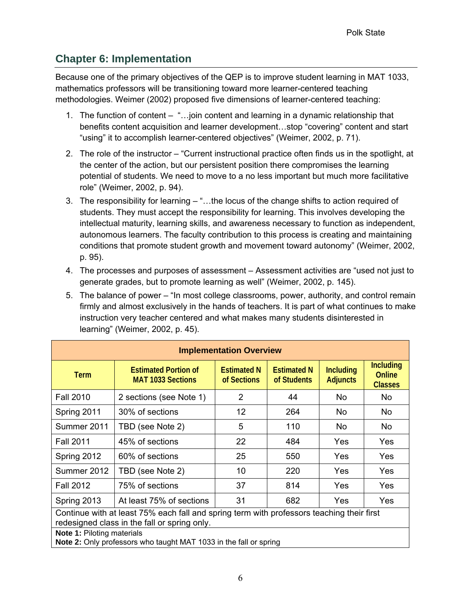# **Chapter 6: Implementation**

Because one of the primary objectives of the QEP is to improve student learning in MAT 1033, mathematics professors will be transitioning toward more learner-centered teaching methodologies. Weimer (2002) proposed five dimensions of learner-centered teaching:

- 1. The function of content "…join content and learning in a dynamic relationship that benefits content acquisition and learner development…stop "covering" content and start "using" it to accomplish learner-centered objectives" (Weimer, 2002, p. 71).
- 2. The role of the instructor "Current instructional practice often finds us in the spotlight, at the center of the action, but our persistent position there compromises the learning potential of students. We need to move to a no less important but much more facilitative role" (Weimer, 2002, p. 94).
- 3. The responsibility for learning "…the locus of the change shifts to action required of students. They must accept the responsibility for learning. This involves developing the intellectual maturity, learning skills, and awareness necessary to function as independent, autonomous learners. The faculty contribution to this process is creating and maintaining conditions that promote student growth and movement toward autonomy" (Weimer, 2002, p. 95).
- 4. The processes and purposes of assessment Assessment activities are "used not just to generate grades, but to promote learning as well" (Weimer, 2002, p. 145).
- 5. The balance of power "In most college classrooms, power, authority, and control remain firmly and almost exclusively in the hands of teachers. It is part of what continues to make instruction very teacher centered and what makes many students disinterested in learning" (Weimer, 2002, p. 45).

| <b>Implementation Overview</b> |                                                                                                                                           |                                   |                                   |                                     |                                              |  |  |  |  |  |
|--------------------------------|-------------------------------------------------------------------------------------------------------------------------------------------|-----------------------------------|-----------------------------------|-------------------------------------|----------------------------------------------|--|--|--|--|--|
| <b>Term</b>                    | <b>Estimated Portion of</b><br><b>MAT 1033 Sections</b>                                                                                   | <b>Estimated N</b><br>of Sections | <b>Estimated N</b><br>of Students | <b>Including</b><br><b>Adjuncts</b> | <b>Including</b><br>Online<br><b>Classes</b> |  |  |  |  |  |
| <b>Fall 2010</b>               | 2 sections (see Note 1)                                                                                                                   | $\overline{2}$                    | 44                                | No.                                 | No.                                          |  |  |  |  |  |
| Spring 2011                    | 30% of sections                                                                                                                           | 12                                | 264                               | No.                                 | No.                                          |  |  |  |  |  |
| Summer 2011                    | TBD (see Note 2)                                                                                                                          | 5                                 | 110                               | No.                                 | No                                           |  |  |  |  |  |
| <b>Fall 2011</b>               | 45% of sections                                                                                                                           | 22                                | 484                               | <b>Yes</b>                          | Yes                                          |  |  |  |  |  |
| Spring 2012                    | 60% of sections                                                                                                                           | 25                                | 550                               | Yes                                 | Yes                                          |  |  |  |  |  |
| Summer 2012                    | TBD (see Note 2)                                                                                                                          | 10                                | 220                               | Yes                                 | Yes                                          |  |  |  |  |  |
| <b>Fall 2012</b>               | 75% of sections                                                                                                                           | 37                                | 814                               | Yes                                 | Yes                                          |  |  |  |  |  |
| Spring 2013                    | At least 75% of sections                                                                                                                  | 31                                | 682                               | Yes                                 | Yes                                          |  |  |  |  |  |
|                                | Continue with at least 75% each fall and spring term with professors teaching their first<br>redesigned class in the fall or spring only. |                                   |                                   |                                     |                                              |  |  |  |  |  |
| Note 1: Piloting materials     | Note 2: Only professors who taught MAT 1033 in the fall or spring                                                                         |                                   |                                   |                                     |                                              |  |  |  |  |  |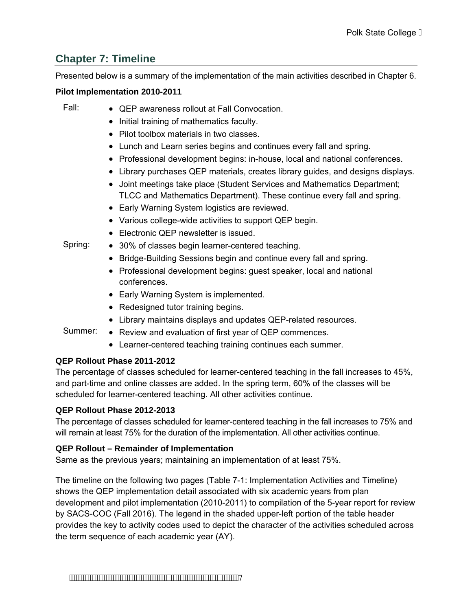# **Chapter 7: Timeline**

Presented below is a summary of the implementation of the main activities described in Chapter 6.

#### **Pilot Implementation 2010-2011**

- Fall: QEP awareness rollout at Fall Convocation.
	- Initial training of mathematics faculty.
	- Pilot toolbox materials in two classes.
	- Lunch and Learn series begins and continues every fall and spring.
	- Professional development begins: in-house, local and national conferences.
	- Library purchases QEP materials, creates library guides, and designs displays.
	- Joint meetings take place (Student Services and Mathematics Department; TLCC and Mathematics Department). These continue every fall and spring.
	- Early Warning System logistics are reviewed.
	- Various college-wide activities to support QEP begin.
	- Electronic QEP newsletter is issued.
- Spring: 30% of classes begin learner-centered teaching.
	- Bridge-Building Sessions begin and continue every fall and spring.
	- Professional development begins: guest speaker, local and national conferences.
	- Early Warning System is implemented.
	- Redesigned tutor training begins.
	- Library maintains displays and updates QEP-related resources.
- Summer: Review and evaluation of first year of QEP commences.
	- Learner-centered teaching training continues each summer.

## **QEP Rollout Phase 2011-2012**

The percentage of classes scheduled for learner-centered teaching in the fall increases to 45%, and part-time and online classes are added. In the spring term, 60% of the classes will be scheduled for learner-centered teaching. All other activities continue.

## **QEP Rollout Phase 2012-2013**

The percentage of classes scheduled for learner-centered teaching in the fall increases to 75% and will remain at least 75% for the duration of the implementation. All other activities continue.

## **QEP Rollout – Remainder of Implementation**

Same as the previous years; maintaining an implementation of at least 75%.

The timeline on the following two pages (Table 7-1: Implementation Activities and Timeline) shows the QEP implementation detail associated with six academic years from plan development and pilot implementation (2010-2011) to compilation of the 5-year report for review by SACS-COC (Fall 2016). The legend in the shaded upper-left portion of the table header provides the key to activity codes used to depict the character of the activities scheduled across the term sequence of each academic year (AY).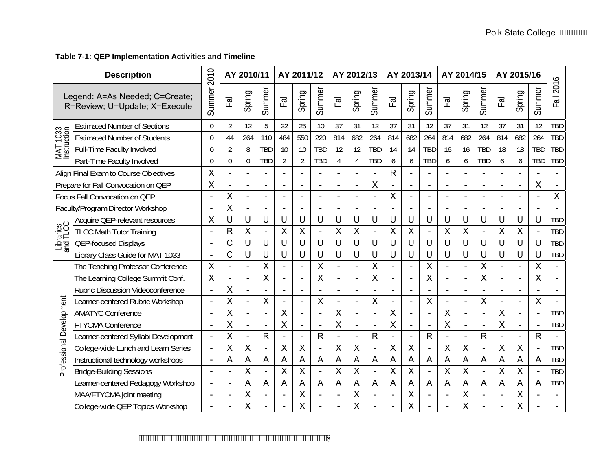### **Table 7-1: QEP Implementation Activities and Timeline**

| <b>Description</b>                                              |                                       | 2010                     |                | AY 2010/11               |                          |                | AY 2011/12     |                          |                | AY 2012/13               |                          |                            | AY 2013/14               |              |                                      | AY 2014/15               |              |                          | AY 2015/16               |              |                |
|-----------------------------------------------------------------|---------------------------------------|--------------------------|----------------|--------------------------|--------------------------|----------------|----------------|--------------------------|----------------|--------------------------|--------------------------|----------------------------|--------------------------|--------------|--------------------------------------|--------------------------|--------------|--------------------------|--------------------------|--------------|----------------|
| Legend: A=As Needed; C=Create;<br>R=Review; U=Update; X=Execute |                                       | Summer                   | $\overline{E}$ | Spring                   | Summer                   | Fall           | Spring         | Summer                   | Fall           | Spring                   | Summer                   | $\overline{\overline{16}}$ | Spring                   | Summer       | $\overline{\overline{\overline{B}}}$ | Spring                   | Summer       | $\overline{E}$           | Spring                   | Summer       | Fall 2016      |
|                                                                 | <b>Estimated Number of Sections</b>   | 0                        | 2              | 12                       | 5                        | 22             | 25             | 10                       | 37             | 31                       | 12                       | 37                         | 31                       | 12           | 37                                   | 31                       | 12           | 37                       | 31                       | 12           | <b>TBD</b>     |
| MAT 1033<br>Instruction                                         | <b>Estimated Number of Students</b>   | $\overline{0}$           | 44             | 264                      | 110                      | 484            | 550            | 220                      | 814            | 682                      | 264                      | 814                        | 682                      | 264          | 814                                  | 682                      | 264          | 814                      | 682                      | 264          | <b>TBD</b>     |
|                                                                 | Full-Time Faculty Involved            | $\overline{0}$           | 2              | 8                        | <b>TBD</b>               | 10             | 10             | <b>TBD</b>               | 12             | 12                       | <b>TBD</b>               | 14                         | 14                       | <b>TBD</b>   | 16                                   | 16                       | <b>TBD</b>   | 18                       | 18                       | <b>TBD</b>   | <b>TBD</b>     |
|                                                                 | Part-Time Faculty Involved            | $\Omega$                 | $\Omega$       | $\Omega$                 | <b>TBD</b>               | $\overline{2}$ | $\overline{2}$ | <b>TBD</b>               | $\overline{4}$ | 4                        | <b>TBD</b>               | 6                          | 6                        | <b>TBD</b>   | 6                                    | 6                        | <b>TBD</b>   | 6                        | 6                        | <b>TBD</b>   | <b>TBD</b>     |
|                                                                 | Align Final Exam to Course Objectives | X                        |                |                          | $\blacksquare$           |                |                |                          |                | $\overline{a}$           | $\blacksquare$           | $\mathsf{R}$               | L.                       |              |                                      | $\overline{\phantom{a}}$ |              |                          | $\overline{a}$           |              | $\blacksquare$ |
|                                                                 | Prepare for Fall Convocation on QEP   | X                        |                |                          |                          |                | $\overline{a}$ | $\overline{\phantom{a}}$ |                | $\overline{\phantom{a}}$ | X                        |                            | $\overline{a}$           |              |                                      | $\sim$                   |              |                          | $\overline{\phantom{0}}$ | X            |                |
|                                                                 | Focus Fall Convocation on QEP         | $\blacksquare$           | Χ              | $\sim$                   |                          |                | $\overline{a}$ |                          |                | $\overline{\phantom{a}}$ |                          | X                          | $\overline{\phantom{a}}$ |              |                                      | $\blacksquare$           |              |                          |                          |              | $\sf X$        |
|                                                                 | Faculty/Program Director Workshop     | $\overline{a}$           | X              |                          |                          |                |                |                          |                |                          |                          |                            | ۳                        |              |                                      | $\sim$                   |              |                          |                          |              |                |
|                                                                 | Acquire QEP-relevant resources        | X                        |                | U                        | U                        |                | U              | U                        | U              | U                        | U                        | U                          | U                        | U            | U                                    | U                        |              | U                        | U                        | U            | <b>TBD</b>     |
|                                                                 | <b>TLCC Math Tutor Training</b>       | $\blacksquare$           | R              | X                        | $\overline{\phantom{0}}$ | Χ              | $\sf X$        |                          | X              | $\sf X$                  |                          | X                          | X                        |              | X                                    | $\sf X$                  |              | X                        | X                        |              | <b>TBD</b>     |
| Libraries<br>and TLCC                                           | <b>QEP-focused Displays</b>           | $\blacksquare$           | C              | U                        | U                        | U              | U              | U                        | U              | U                        | U                        | U                          | U                        | U            | U                                    | U                        | U            | U                        | U                        | U            | <b>TBD</b>     |
|                                                                 | Library Class Guide for MAT 1033      | $\overline{\phantom{a}}$ | Ć              | U                        | U                        | U              | U              | U                        | U              | U                        | U                        | U                          | U                        | U            | U                                    | U                        | U            | U                        | U                        | U            | <b>TBD</b>     |
|                                                                 | The Teaching Professor Conference     | X                        |                |                          | X                        |                | $\blacksquare$ | X                        |                |                          | X                        |                            | $\overline{\phantom{a}}$ | X            |                                      | $\overline{\phantom{a}}$ | X            |                          | $\overline{\phantom{a}}$ | X            | $\blacksquare$ |
|                                                                 | The Learning College Summit Conf.     | X                        |                |                          | X                        |                |                | X                        |                |                          | X                        |                            | L.                       | X            |                                      | $\ddot{\phantom{1}}$     | Χ            |                          | $\overline{\phantom{a}}$ | X            |                |
|                                                                 | Rubric Discussion Videoconference     | $\blacksquare$           | X              |                          |                          |                |                |                          |                |                          |                          |                            | $\overline{\phantom{0}}$ |              |                                      | $\blacksquare$           |              |                          | $\blacksquare$           |              |                |
|                                                                 | Learner-centered Rubric Workshop      |                          | Χ              |                          | X                        |                |                | X                        |                |                          | X                        |                            |                          | X            |                                      | $\overline{\phantom{a}}$ | Χ            |                          | $\overline{a}$           | X            |                |
| Professional Development                                        | <b>AMATYC Conference</b>              |                          | Χ              |                          | $\overline{\phantom{a}}$ | Χ              |                |                          | X              |                          |                          | X                          | $\overline{\phantom{0}}$ |              | Χ                                    | $\overline{\phantom{a}}$ |              | Χ                        | $\overline{a}$           |              | <b>TBD</b>     |
|                                                                 | <b>FTYCMA Conference</b>              |                          | Χ              |                          | $\overline{a}$           | Χ              |                |                          | X              |                          |                          | X                          |                          |              | Χ                                    |                          |              | Χ                        |                          |              | <b>TBD</b>     |
|                                                                 | Learner-centered Syllabi Development  | $\overline{\phantom{a}}$ | Χ              | $\overline{\phantom{a}}$ | $\mathsf{R}$             |                | $\overline{a}$ | $\mathsf{R}$             |                |                          | $\mathsf{R}$             |                            | L.                       | $\mathsf{R}$ |                                      | $\overline{\phantom{a}}$ | $\mathsf{R}$ | $\overline{\phantom{a}}$ | $\overline{\phantom{a}}$ | $\mathsf{R}$ |                |
|                                                                 | College-wide Lunch and Learn Series   |                          | Χ              | X                        | $\overline{\phantom{a}}$ | Χ              | $\pmb{\times}$ | $\overline{\phantom{0}}$ | X              | X                        | $\overline{\phantom{0}}$ | X                          | X                        |              | X                                    | $\sf X$                  |              | X                        | $\sf X$                  |              | <b>TBD</b>     |
|                                                                 | Instructional technology workshops    | $\blacksquare$           | Α              | A                        | A                        | A              | A              | A                        | A              | A                        | A                        | A                          | A                        | A            | A                                    | A                        | A            | A                        | A                        | A            | <b>TBD</b>     |
|                                                                 | <b>Bridge-Building Sessions</b>       | $\overline{\phantom{a}}$ |                | X                        | $\overline{\phantom{a}}$ | Χ              | $\sf X$        | $\overline{\phantom{0}}$ | $\sf X$        | $\sf X$                  | $\overline{\phantom{m}}$ | X                          | X                        |              | X                                    | $\sf X$                  |              | $\sf X$                  | X                        |              | <b>TBD</b>     |
|                                                                 | Learner-centered Pedagogy Workshop    |                          |                | A                        | A                        | A              | $\overline{A}$ | А                        | A              | A                        | A                        | A                          | A                        | A            | A                                    | A                        | Α            | A                        | A                        | Α            | <b>TBD</b>     |
|                                                                 | MAA/FTYCMA joint meeting              |                          |                | Χ                        |                          |                | X              |                          |                | Χ                        |                          |                            | X                        |              |                                      | X                        |              |                          | X                        |              |                |
|                                                                 | College-wide QEP Topics Workshop      |                          |                | Χ                        |                          |                | Χ              |                          |                | X                        |                          |                            | X                        |              |                                      | X                        |              |                          | Χ                        |              |                |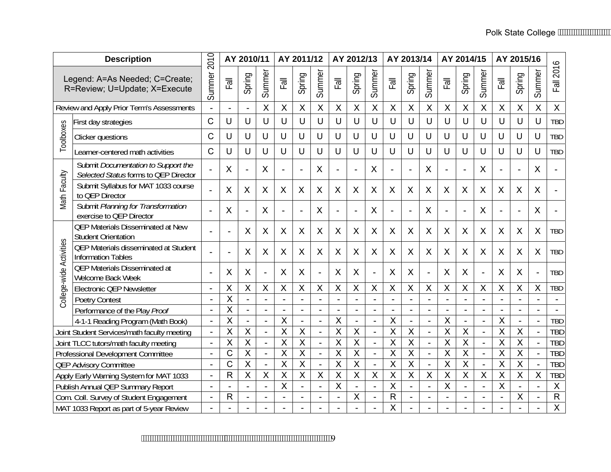| <b>Description</b>                                              |                                                                              | 2010                     |                         | AY 2010/11              |                          |                         | AY 2011/12                |                          |                           | AY 2012/13                |                          |                           | AY 2013/14               |                           |                           | AY 2014/15                |                         |                         | AY 2015/16                |                         |                |
|-----------------------------------------------------------------|------------------------------------------------------------------------------|--------------------------|-------------------------|-------------------------|--------------------------|-------------------------|---------------------------|--------------------------|---------------------------|---------------------------|--------------------------|---------------------------|--------------------------|---------------------------|---------------------------|---------------------------|-------------------------|-------------------------|---------------------------|-------------------------|----------------|
| Legend: A=As Needed; C=Create;<br>R=Review; U=Update; X=Execute |                                                                              | Summer                   | $E_{\overline{a}}$      | Spring                  | Summer                   | Fall                    | Spring                    | Summer                   | Fall                      | Spring                    | Summer                   | Fall                      | Spring                   | Summer                    | Fall                      | Spring                    | Summer                  | $\mathbb{E}$            | Spring                    | Summer                  | 2016           |
|                                                                 | Review and Apply Prior Term's Assessments                                    |                          |                         |                         | $\sf X$                  | X                       | $\pmb{\times}$            | $\sf X$                  | $\boldsymbol{\mathsf{X}}$ | $\sf X$                   | $\sf X$                  | $\boldsymbol{\mathsf{X}}$ | $\sf X$                  | $\boldsymbol{\mathsf{X}}$ | $\sf X$                   | $\mathsf{X}$              | $\sf X$                 | $\sf X$                 | $\boldsymbol{\mathsf{X}}$ | $\mathsf{X}$            | $\mathsf{X}$   |
|                                                                 | First day strategies                                                         | $\overline{C}$           | U                       | U                       | U                        | U                       | U                         | U                        | U                         | U                         | U                        | U                         | U                        | U                         | U                         | U                         | $\cup$                  | U                       | U                         | U                       | <b>TBD</b>     |
| Toolboxes                                                       | Clicker questions                                                            | C                        | U                       | U                       | U                        | U                       | U                         | U                        | U                         | U                         | U                        | U                         | U                        | U                         | U                         | U                         | U                       | U                       | U                         | U                       | TBD            |
|                                                                 | Learner-centered math activities                                             | $\mathsf{C}$             | U                       | U                       | U                        | U                       | U                         | U                        | U                         | U                         | U                        | U                         | U                        | U                         | U                         | U                         | U                       | $\cup$                  | U                         | U                       | TBD            |
|                                                                 | Submit Documentation to Support the<br>Selected Status forms to QEP Director |                          | X                       | $\blacksquare$          | X                        |                         | $\overline{a}$            | X                        |                           | Ĭ.                        | X                        |                           | $\overline{a}$           | X                         |                           | $\overline{a}$            | X                       |                         |                           | X                       |                |
| Math Faculty                                                    | Submit Syllabus for MAT 1033 course<br>to QEP Director                       |                          | X                       | X                       | X                        | X                       | X                         | X                        | X                         | X                         | X                        | X                         | X                        | X                         | X                         | X                         | X                       | X                       | X                         | X                       |                |
|                                                                 | Submit Planning for Transformation<br>exercise to QEP Director               |                          | X                       |                         | $\sf X$                  |                         | $\overline{a}$            | $\times$                 |                           |                           | X                        |                           |                          | X                         |                           | $\overline{a}$            | $\sf X$                 |                         |                           | X                       |                |
|                                                                 | <b>QEP Materials Disseminated at New</b><br><b>Student Orientation</b>       |                          |                         | X                       | X                        | X                       | X                         | X                        | X                         | X                         | X                        | X                         | X                        | X                         | X                         | X                         | X                       | X                       | X                         | X                       | TBD            |
| College-wide Activities                                         | <b>QEP Materials disseminated at Student</b><br>Information Tables           |                          |                         | X                       | X                        | X                       | X                         | X                        | X                         | $\boldsymbol{\mathsf{X}}$ | $\mathsf{X}$             | X                         | X                        | X                         | $\boldsymbol{\mathsf{X}}$ | $\boldsymbol{\mathsf{X}}$ | X                       | X                       | X                         | X                       | TBD            |
|                                                                 | <b>QEP Materials Disseminated at</b><br>Welcome Back Week                    |                          | Χ                       | X                       | $\overline{\phantom{a}}$ | X                       | X                         |                          | X                         | X                         |                          | X                         | X                        |                           | X                         | X                         |                         | X                       | X                         |                         | <b>TBD</b>     |
|                                                                 | <b>Electronic QEP Newsletter</b>                                             | $\blacksquare$           | X                       | $\overline{X}$          | $\sf X$                  | $\overline{\mathsf{X}}$ | $\overline{\mathsf{X}}$   | X                        | $\sf X$                   | $\mathsf{X}$              | $\sf X$                  | X                         | $\mathsf{X}$             | $\overline{\mathsf{X}}$   | X                         | $\overline{\mathsf{X}}$   | $\mathsf{X}$            | $\overline{\mathsf{X}}$ | $\sf X$                   | $\sf X$                 | TBD            |
|                                                                 | <b>Poetry Contest</b>                                                        |                          | X                       |                         |                          |                         |                           |                          |                           |                           |                          |                           |                          |                           |                           |                           |                         |                         |                           |                         |                |
|                                                                 | Performance of the Play Proof                                                | $\blacksquare$           | $\overline{\mathsf{X}}$ | $\blacksquare$          | $\overline{a}$           |                         |                           |                          |                           |                           |                          |                           | $\blacksquare$           |                           |                           | $\blacksquare$            |                         |                         | $\blacksquare$            |                         | $\sim$         |
|                                                                 | 4-1-1 Reading Program (Math Book)                                            |                          | X                       |                         | $\overline{a}$           | X                       | $\blacksquare$            | ÷,                       | $\boldsymbol{\mathsf{X}}$ | $\blacksquare$            |                          | $\boldsymbol{\mathsf{X}}$ | $\blacksquare$           |                           | X                         | $\blacksquare$            |                         | $\overline{\mathsf{X}}$ | $\blacksquare$            |                         | <b>TBD</b>     |
|                                                                 | Joint Student Services/math faculty meeting                                  | $\blacksquare$           | X                       | $\overline{X}$          | $\blacksquare$           | X                       | $\mathsf{X}$              | $\blacksquare$           | $\overline{X}$            | $\overline{X}$            |                          | $\overline{X}$            | X                        |                           | X                         | X                         |                         | $\overline{X}$          | $\sf X$                   |                         | <b>TBD</b>     |
|                                                                 | Joint TLCC tutors/math faculty meeting                                       | $\overline{\phantom{a}}$ | X                       | $\overline{\mathsf{X}}$ |                          | X                       | $\mathsf{X}$              |                          | $\overline{\mathsf{X}}$   | $\mathsf{X}$              |                          | $\overline{\mathsf{X}}$   | $\overline{\mathsf{X}}$  |                           | X                         | $\mathsf{X}$              |                         | X                       | $\sf X$                   |                         | <b>TBD</b>     |
|                                                                 | Professional Development Committee                                           | $\blacksquare$           | Ċ                       | X                       | $\overline{\phantom{a}}$ | X                       | $\boldsymbol{\mathsf{X}}$ | $\overline{\phantom{a}}$ | $\sf X$                   | $\mathsf{X}$              | $\blacksquare$           | $\sf X$                   | $\overline{X}$           |                           | X                         | $\mathsf{X}$              |                         | X                       | $\mathsf X$               |                         | <b>TBD</b>     |
|                                                                 | <b>QEP Advisory Committee</b>                                                |                          | C                       | $\overline{\mathsf{x}}$ | $\overline{\phantom{a}}$ | X                       | $\overline{X}$            | $\blacksquare$           | $\overline{X}$            | $\overline{\mathsf{x}}$   | $\overline{\phantom{a}}$ | $\overline{\mathsf{x}}$   | $\overline{\mathsf{x}}$  |                           | X                         | $\overline{\mathsf{x}}$   |                         | $\overline{\mathsf{x}}$ | $\overline{\mathsf{X}}$   |                         | <b>TBD</b>     |
|                                                                 | Apply Early Warning System for MAT 1033                                      | $\blacksquare$           | R                       | $\overline{\mathsf{x}}$ | $\overline{\mathsf{x}}$  | $\overline{\mathsf{x}}$ | $\overline{\mathsf{x}}$   | $\overline{\mathsf{x}}$  | $\overline{X}$            | $\overline{\mathsf{x}}$   | $\overline{\mathsf{x}}$  | $\overline{X}$            | $\overline{\mathsf{X}}$  | $\overline{X}$            | $\overline{\mathsf{x}}$   | $\overline{\mathsf{X}}$   | $\overline{\mathsf{x}}$ | $\overline{\mathsf{x}}$ | $\overline{X}$            | $\overline{\mathsf{X}}$ | <b>TBD</b>     |
|                                                                 | Publish Annual QEP Summary Report                                            |                          |                         |                         |                          | X                       |                           | ÷,                       | $\boldsymbol{\mathsf{X}}$ |                           |                          | $\overline{\mathsf{x}}$   |                          |                           | X                         | $\blacksquare$            |                         | $\overline{\mathsf{x}}$ | ÷,                        |                         | $\pmb{\times}$ |
|                                                                 | Com. Coll. Survey of Student Engagement                                      | $\blacksquare$           | R                       | L,                      |                          |                         |                           |                          |                           | X                         |                          | $\mathsf{R}$              | $\overline{\phantom{0}}$ |                           |                           |                           |                         |                         | $\pmb{\mathsf{X}}$        |                         | ${\sf R}$      |
|                                                                 | MAT 1033 Report as part of 5-year Review                                     |                          |                         |                         |                          |                         |                           |                          |                           |                           |                          | $\overline{\mathsf{X}}$   |                          |                           |                           |                           |                         |                         |                           |                         | $\overline{X}$ |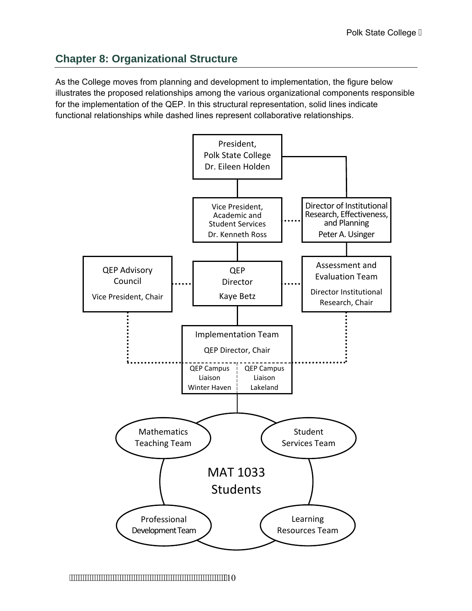# **Chapter 8: Organizational Structure**

As the College moves from planning and development to implementation, the figure below illustrates the proposed relationships among the various organizational components responsible for the implementation of the QEP. In this structural representation, solid lines indicate functional relationships while dashed lines represent collaborative relationships.



10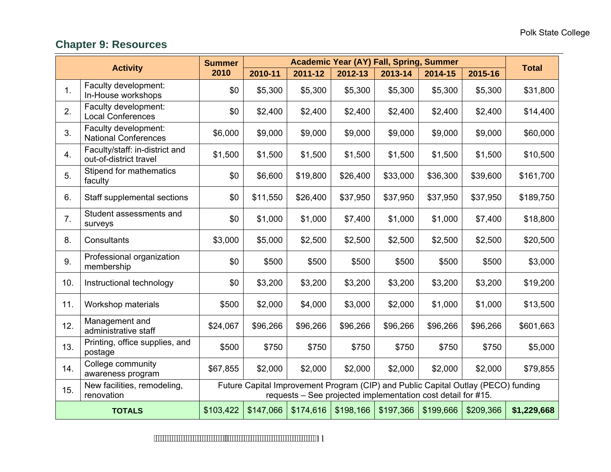# **Chapter 9: Resources**

| <b>Academic Year (AY) Fall, Spring, Summer</b><br><b>Summer</b><br><b>Activity</b> |                                                          |          |          |          |                                                              |           | <b>Total</b> |                                                                                   |             |
|------------------------------------------------------------------------------------|----------------------------------------------------------|----------|----------|----------|--------------------------------------------------------------|-----------|--------------|-----------------------------------------------------------------------------------|-------------|
|                                                                                    |                                                          | 2010     | 2010-11  | 2011-12  | 2012-13                                                      | 2013-14   | 2014-15      | 2015-16                                                                           |             |
| 1.                                                                                 | Faculty development:<br>In-House workshops               | \$0      | \$5,300  | \$5,300  | \$5,300                                                      | \$5,300   | \$5,300      | \$5,300                                                                           | \$31,800    |
| 2.                                                                                 | Faculty development:<br><b>Local Conferences</b>         | \$0      | \$2,400  | \$2,400  | \$2,400                                                      | \$2,400   | \$2,400      | \$2,400                                                                           | \$14,400    |
| 3.                                                                                 | Faculty development:<br><b>National Conferences</b>      | \$6,000  | \$9,000  | \$9,000  | \$9,000                                                      | \$9,000   | \$9,000      | \$9,000                                                                           | \$60,000    |
| 4.                                                                                 | Faculty/staff: in-district and<br>out-of-district travel | \$1,500  | \$1,500  | \$1,500  | \$1,500                                                      | \$1,500   | \$1,500      | \$1,500                                                                           | \$10,500    |
| 5.                                                                                 | Stipend for mathematics<br>faculty                       | \$0      | \$6,600  | \$19,800 | \$26,400                                                     | \$33,000  | \$36,300     | \$39,600                                                                          | \$161,700   |
| 6.                                                                                 | Staff supplemental sections                              | \$0      | \$11,550 | \$26,400 | \$37,950                                                     | \$37,950  | \$37,950     | \$37,950                                                                          | \$189,750   |
| 7.                                                                                 | Student assessments and<br>surveys                       | \$0      | \$1,000  | \$1,000  | \$7,400                                                      | \$1,000   | \$1,000      | \$7,400                                                                           | \$18,800    |
| 8.                                                                                 | Consultants                                              | \$3,000  | \$5,000  | \$2,500  | \$2,500                                                      | \$2,500   | \$2,500      | \$2,500                                                                           | \$20,500    |
| 9.                                                                                 | Professional organization<br>membership                  | \$0      | \$500    | \$500    | \$500                                                        | \$500     | \$500        | \$500                                                                             | \$3,000     |
| 10.                                                                                | Instructional technology                                 | \$0      | \$3,200  | \$3,200  | \$3,200                                                      | \$3,200   | \$3,200      | \$3,200                                                                           | \$19,200    |
| 11.                                                                                | Workshop materials                                       | \$500    | \$2,000  | \$4,000  | \$3,000                                                      | \$2,000   | \$1,000      | \$1,000                                                                           | \$13,500    |
| 12.                                                                                | Management and<br>administrative staff                   | \$24,067 | \$96,266 | \$96,266 | \$96,266                                                     | \$96,266  | \$96,266     | \$96,266                                                                          | \$601,663   |
| 13.                                                                                | Printing, office supplies, and<br>postage                | \$500    | \$750    | \$750    | \$750                                                        | \$750     | \$750        | \$750                                                                             | \$5,000     |
| 14.                                                                                | College community<br>awareness program                   | \$67,855 | \$2,000  | \$2,000  | \$2,000                                                      | \$2,000   | \$2,000      | \$2,000                                                                           | \$79,855    |
| 15.                                                                                | New facilities, remodeling,<br>renovation                |          |          |          | requests – See projected implementation cost detail for #15. |           |              | Future Capital Improvement Program (CIP) and Public Capital Outlay (PECO) funding |             |
| \$103,422<br>\$147,066<br>\$174,616<br><b>TOTALS</b>                               |                                                          |          |          |          | \$198,166                                                    | \$197,366 | \$199,666    | \$209,366                                                                         | \$1,229,668 |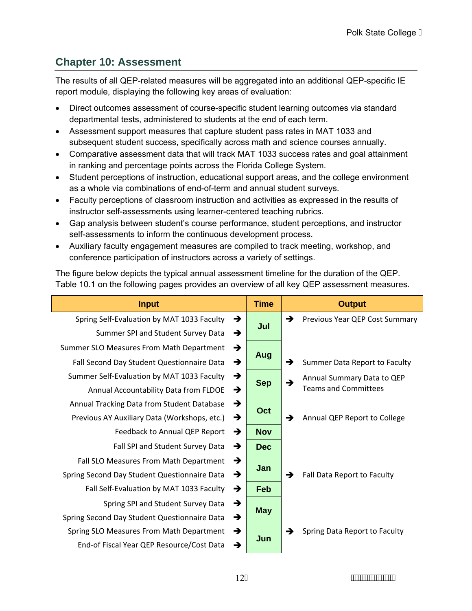# **Chapter 10: Assessment**

The results of all QEP-related measures will be aggregated into an additional QEP-specific IE report module, displaying the following key areas of evaluation:

- Direct outcomes assessment of course-specific student learning outcomes via standard departmental tests, administered to students at the end of each term.
- Assessment support measures that capture student pass rates in MAT 1033 and subsequent student success, specifically across math and science courses annually.
- Comparative assessment data that will track MAT 1033 success rates and goal attainment in ranking and percentage points across the Florida College System.
- Student perceptions of instruction, educational support areas, and the college environment as a whole via combinations of end-of-term and annual student surveys.
- Faculty perceptions of classroom instruction and activities as expressed in the results of instructor self-assessments using learner-centered teaching rubrics.
- Gap analysis between student's course performance, student perceptions, and instructor self-assessments to inform the continuous development process.
- Auxiliary faculty engagement measures are compiled to track meeting, workshop, and conference participation of instructors across a variety of settings.

The figure below depicts the typical annual assessment timeline for the duration of the QEP. Table 10.1 on the following pages provides an overview of all key QEP assessment measures.

| <b>Input</b>                                 |   | <b>Time</b> |               | <b>Output</b>                  |  |  |
|----------------------------------------------|---|-------------|---------------|--------------------------------|--|--|
| Spring Self-Evaluation by MAT 1033 Faculty   | → | Jul         | $\rightarrow$ | Previous Year QEP Cost Summary |  |  |
| Summer SPI and Student Survey Data           | → |             |               |                                |  |  |
| Summer SLO Measures From Math Department     | → |             |               |                                |  |  |
| Fall Second Day Student Questionnaire Data   | → | Aug         |               | Summer Data Report to Faculty  |  |  |
| Summer Self-Evaluation by MAT 1033 Faculty   | → | <b>Sep</b>  |               | Annual Summary Data to QEP     |  |  |
| Annual Accountability Data from FLDOE        | → |             | $\rightarrow$ | <b>Teams and Committees</b>    |  |  |
| Annual Tracking Data from Student Database   | → | Oct         |               |                                |  |  |
| Previous AY Auxiliary Data (Workshops, etc.) | → |             |               | Annual QEP Report to College   |  |  |
| Feedback to Annual QEP Report                | → | <b>Nov</b>  |               |                                |  |  |
| Fall SPI and Student Survey Data             | → | <b>Dec</b>  |               |                                |  |  |
| Fall SLO Measures From Math Department       | → | Jan         |               |                                |  |  |
| Spring Second Day Student Questionnaire Data | → |             | $\rightarrow$ | Fall Data Report to Faculty    |  |  |
| Fall Self-Evaluation by MAT 1033 Faculty     | → | Feb         |               |                                |  |  |
| Spring SPI and Student Survey Data           | → | <b>May</b>  |               |                                |  |  |
| Spring Second Day Student Questionnaire Data | → |             |               |                                |  |  |
| Spring SLO Measures From Math Department     | → | Jun         | $\rightarrow$ | Spring Data Report to Faculty  |  |  |
| End-of Fiscal Year QEP Resource/Cost Data    | → |             |               |                                |  |  |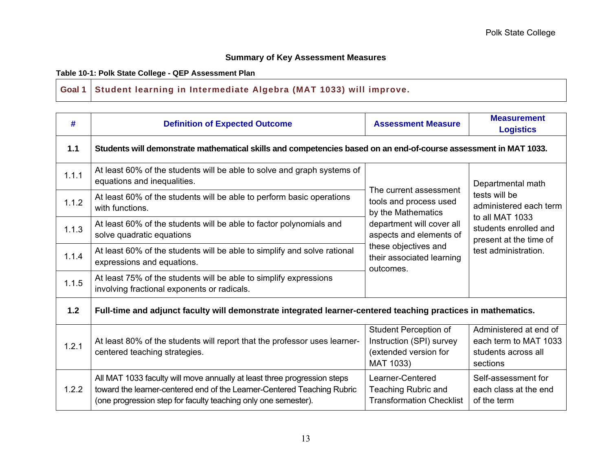### **Summary of Key Assessment Measures**

#### Table 10-1: Polk State College - QEP Assessment Plan

#### **Goal 1 Student learning in Intermediate Algebra (MAT 1033) will improve.**

| #     | <b>Definition of Expected Outcome</b>                                                                                                                                                                                 | <b>Assessment Measure</b>                                                               | <b>Measurement</b><br><b>Logistics</b>                                             |  |  |
|-------|-----------------------------------------------------------------------------------------------------------------------------------------------------------------------------------------------------------------------|-----------------------------------------------------------------------------------------|------------------------------------------------------------------------------------|--|--|
| 1.1   | Students will demonstrate mathematical skills and competencies based on an end-of-course assessment in MAT 1033.                                                                                                      |                                                                                         |                                                                                    |  |  |
| 1.1.1 | At least 60% of the students will be able to solve and graph systems of<br>equations and inequalities.                                                                                                                |                                                                                         | Departmental math                                                                  |  |  |
| 1.1.2 | At least 60% of the students will be able to perform basic operations<br>with functions.                                                                                                                              | The current assessment<br>tools and process used<br>by the Mathematics                  | tests will be<br>administered each term<br>to all MAT 1033                         |  |  |
| 1.1.3 | At least 60% of the students will be able to factor polynomials and<br>solve quadratic equations                                                                                                                      | department will cover all<br>aspects and elements of                                    | students enrolled and<br>present at the time of<br>test administration.            |  |  |
| 1.1.4 | At least 60% of the students will be able to simplify and solve rational<br>expressions and equations.                                                                                                                | these objectives and<br>their associated learning<br>outcomes.                          |                                                                                    |  |  |
| 1.1.5 | At least 75% of the students will be able to simplify expressions<br>involving fractional exponents or radicals.                                                                                                      |                                                                                         |                                                                                    |  |  |
| 1.2   | Full-time and adjunct faculty will demonstrate integrated learner-centered teaching practices in mathematics.                                                                                                         |                                                                                         |                                                                                    |  |  |
| 1.2.1 | At least 80% of the students will report that the professor uses learner-<br>centered teaching strategies.                                                                                                            | Student Perception of<br>Instruction (SPI) survey<br>(extended version for<br>MAT 1033) | Administered at end of<br>each term to MAT 1033<br>students across all<br>sections |  |  |
| 1.2.2 | All MAT 1033 faculty will move annually at least three progression steps<br>toward the learner-centered end of the Learner-Centered Teaching Rubric<br>(one progression step for faculty teaching only one semester). | Learner-Centered<br>Teaching Rubric and<br><b>Transformation Checklist</b>              | Self-assessment for<br>each class at the end<br>of the term                        |  |  |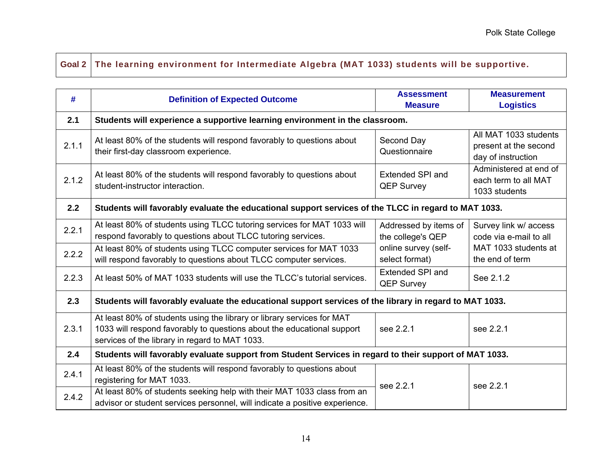## **Goal 2 The learning environment for Intermediate Algebra (MAT 1033) students will be supportive.**

| #     | <b>Definition of Expected Outcome</b>                                                                                                                                                              | <b>Assessment</b><br><b>Measure</b>          | <b>Measurement</b><br><b>Logistics</b>                                                     |  |
|-------|----------------------------------------------------------------------------------------------------------------------------------------------------------------------------------------------------|----------------------------------------------|--------------------------------------------------------------------------------------------|--|
| 2.1   | Students will experience a supportive learning environment in the classroom.                                                                                                                       |                                              |                                                                                            |  |
| 2.1.1 | At least 80% of the students will respond favorably to questions about<br>their first-day classroom experience.                                                                                    | Second Day<br>Questionnaire                  | All MAT 1033 students<br>present at the second<br>day of instruction                       |  |
| 2.1.2 | At least 80% of the students will respond favorably to questions about<br>student-instructor interaction.                                                                                          | <b>Extended SPI and</b><br><b>QEP Survey</b> | Administered at end of<br>each term to all MAT<br>1033 students                            |  |
| 2.2   | Students will favorably evaluate the educational support services of the TLCC in regard to MAT 1033.                                                                                               |                                              |                                                                                            |  |
| 2.2.1 | At least 80% of students using TLCC tutoring services for MAT 1033 will<br>respond favorably to questions about TLCC tutoring services.                                                            | Addressed by items of<br>the college's QEP   | Survey link w/ access<br>code via e-mail to all<br>MAT 1033 students at<br>the end of term |  |
| 2.2.2 | At least 80% of students using TLCC computer services for MAT 1033<br>will respond favorably to questions about TLCC computer services.                                                            | online survey (self-<br>select format)       |                                                                                            |  |
| 2.2.3 | At least 50% of MAT 1033 students will use the TLCC's tutorial services.                                                                                                                           | <b>Extended SPI and</b><br><b>QEP Survey</b> | See 2.1.2                                                                                  |  |
| 2.3   | Students will favorably evaluate the educational support services of the library in regard to MAT 1033.                                                                                            |                                              |                                                                                            |  |
| 2.3.1 | At least 80% of students using the library or library services for MAT<br>1033 will respond favorably to questions about the educational support<br>services of the library in regard to MAT 1033. | see 2.2.1                                    | see 2.2.1                                                                                  |  |
| 2.4   | Students will favorably evaluate support from Student Services in regard to their support of MAT 1033.                                                                                             |                                              |                                                                                            |  |
| 2.4.1 | At least 80% of the students will respond favorably to questions about<br>registering for MAT 1033.                                                                                                | see 2.2.1                                    | see 2.2.1                                                                                  |  |
| 2.4.2 | At least 80% of students seeking help with their MAT 1033 class from an<br>advisor or student services personnel, will indicate a positive experience.                                             |                                              |                                                                                            |  |